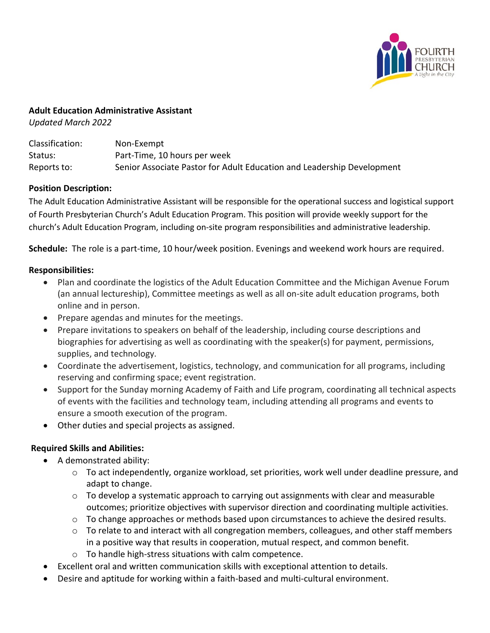

### **Adult Education Administrative Assistant**

*Updated March 2022*

| Classification: | Non-Exempt                                                             |
|-----------------|------------------------------------------------------------------------|
| Status:         | Part-Time, 10 hours per week                                           |
| Reports to:     | Senior Associate Pastor for Adult Education and Leadership Development |

## **Position Description:**

The Adult Education Administrative Assistant will be responsible for the operational success and logistical support of Fourth Presbyterian Church's Adult Education Program. This position will provide weekly support for the church's Adult Education Program, including on-site program responsibilities and administrative leadership.

**Schedule:** The role is a part-time, 10 hour/week position. Evenings and weekend work hours are required.

## **Responsibilities:**

- Plan and coordinate the logistics of the Adult Education Committee and the Michigan Avenue Forum (an annual lectureship), Committee meetings as well as all on-site adult education programs, both online and in person.
- Prepare agendas and minutes for the meetings.
- Prepare invitations to speakers on behalf of the leadership, including course descriptions and biographies for advertising as well as coordinating with the speaker(s) for payment, permissions, supplies, and technology.
- Coordinate the advertisement, logistics, technology, and communication for all programs, including reserving and confirming space; event registration.
- Support for the Sunday morning Academy of Faith and Life program, coordinating all technical aspects of events with the facilities and technology team, including attending all programs and events to ensure a smooth execution of the program.
- Other duties and special projects as assigned.

# **Required Skills and Abilities:**

- A demonstrated ability:
	- $\circ$  To act independently, organize workload, set priorities, work well under deadline pressure, and adapt to change.
	- $\circ$  To develop a systematic approach to carrying out assignments with clear and measurable outcomes; prioritize objectives with supervisor direction and coordinating multiple activities.
	- $\circ$  To change approaches or methods based upon circumstances to achieve the desired results.
	- $\circ$  To relate to and interact with all congregation members, colleagues, and other staff members in a positive way that results in cooperation, mutual respect, and common benefit.
	- o To handle high-stress situations with calm competence.
- Excellent oral and written communication skills with exceptional attention to details.
- Desire and aptitude for working within a faith-based and multi-cultural environment.